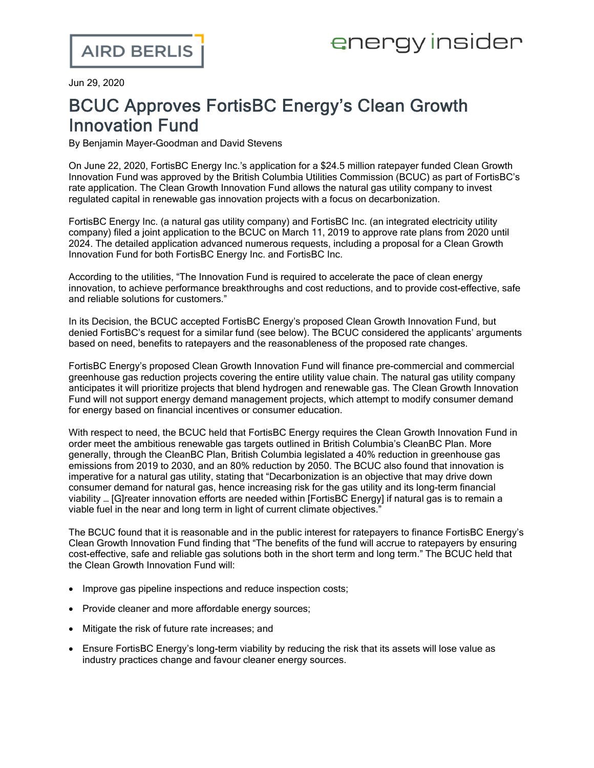Jun 29, 2020

## BCUC Approves FortisBC Energy's Clean Growth Innovation Fund

By Benjamin Mayer-Goodman and David Stevens

On June 22, 2020, [FortisBC](https://www.fortisbc.com/) Energy Inc.'s application for a \$24.5 million ratepayer funded Clean [Growth](https://www.ordersdecisions.bcuc.com/bcuc/decisions/en/481438/1/document.do) [Innovation](https://www.ordersdecisions.bcuc.com/bcuc/decisions/en/481438/1/document.do) Fund was approved by the British Columbia Utilities Commission (BCUC) as part of FortisBC's rate application. The Clean Growth Innovation Fund allows the natural gas utility company to invest regulated capital in renewable gas innovation projects with a focus on decarbonization.

FortisBC Energy Inc. (a natural gas utility company) and FortisBC Inc. (an integrated electricity utility company) filed a joint [application](https://www.bcuc.com/Documents/Proceedings/2019/DOC_53564_B-1-FortisBC-2020-2024-Multi-YearRatePlan-Application.pdf) to the BCUC on March 11, 2019 to approve rate plans from 2020 until 2024. The detailed application advanced numerous requests, including a proposal for a Clean Growth Innovation Fund for both FortisBC Energy Inc. and FortisBC Inc.

According to the utilities, "The Innovation Fund is required to accelerate the pace of clean energy innovation, to achieve performance breakthroughs and cost reductions, and to provide cost-effective, safe and reliable solutions for customers."

In its [Decision](https://www.ordersdecisions.bcuc.com/bcuc/decisions/en/481438/1/document.do), the BCUC accepted FortisBC Energy's proposed Clean Growth Innovation Fund, but denied FortisBC's request for a similar fund (see below). The BCUC considered the applicants' arguments based on need, benefits to ratepayers and the reasonableness of the proposed rate changes.

FortisBC Energy's proposed Clean Growth Innovation Fund will finance pre-commercial and commercial greenhouse gas reduction projects covering the entire utility value chain. The natural gas utility company anticipates it will prioritize projects that blend hydrogen and renewable gas. The Clean Growth Innovation Fund will not support energy demand management projects, which attempt to modify consumer demand for energy based on financial incentives or consumer education.

With respect to need, the BCUC held that FortisBC Energy requires the Clean Growth Innovation Fund in order meet the ambitious renewable gas targets outlined in British Columbia's CleanBC Plan. More generally, through the CleanBC Plan, British Columbia legislated a 40% reduction in greenhouse gas emissions from 2019 to 2030, and an 80% reduction by 2050. The BCUC also found that innovation is imperative for a natural gas utility, stating that "Decarbonization is an objective that may drive down consumer demand for natural gas, hence increasing risk for the gas utility and its long-term financial viability … [G]reater innovation efforts are needed within [FortisBC Energy] if natural gas is to remain a viable fuel in the near and long term in light of current climate objectives."

The BCUC found that it is reasonable and in the public interest for ratepayers to finance FortisBC Energy's Clean Growth Innovation Fund finding that "The benefits of the fund will accrue to ratepayers by ensuring cost-effective, safe and reliable gas solutions both in the short term and long term." The BCUC held that the Clean Growth Innovation Fund will:

- Improve gas pipeline inspections and reduce inspection costs;
- Provide cleaner and more affordable energy sources;
- Mitigate the risk of future rate increases; and
- · Ensure FortisBC Energy's long-term viability by reducing the risk that its assets will lose value as industry practices change and favour cleaner energy sources.